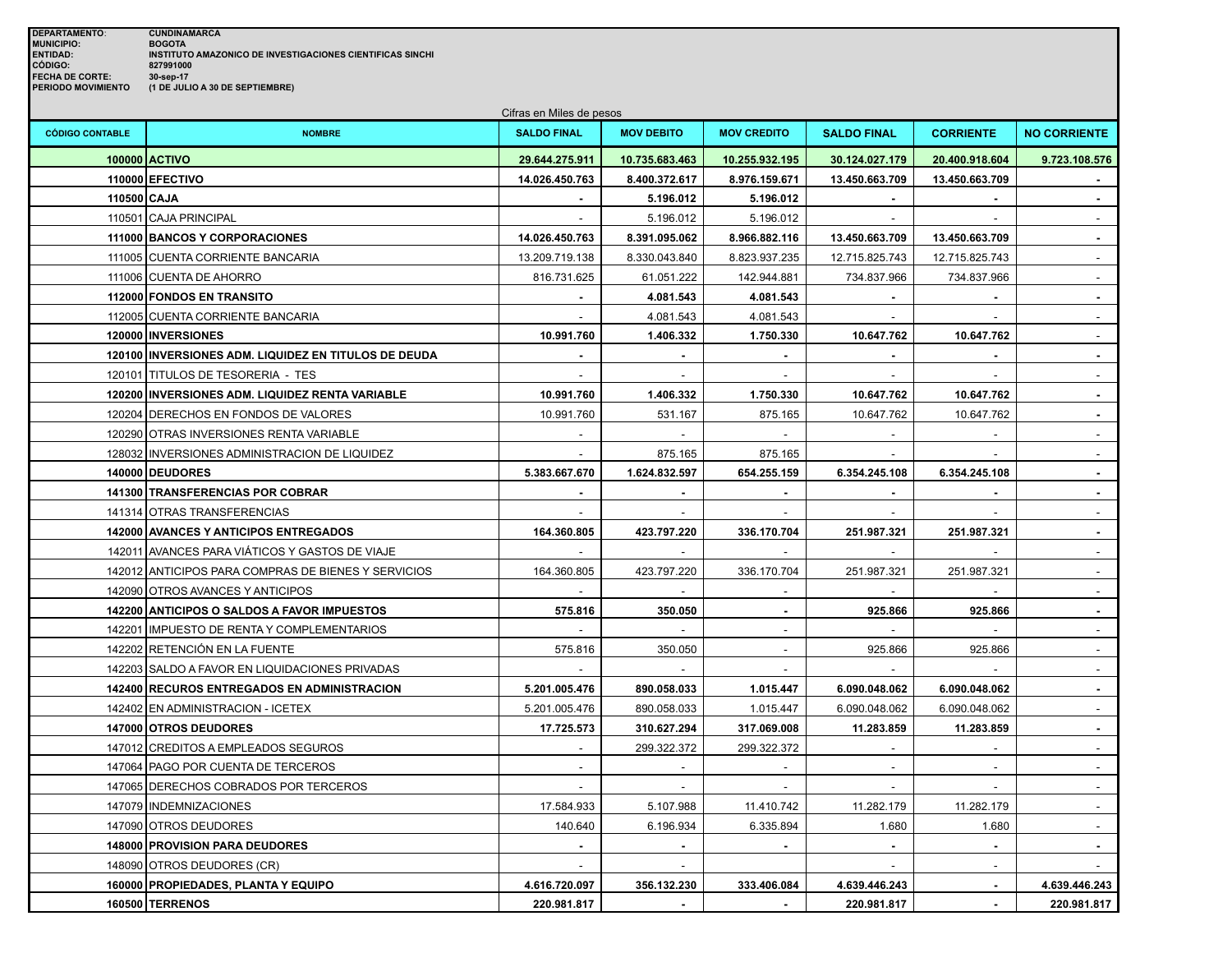|                        | Cifras en Miles de pesos                             |                    |                   |                    |                             |                             |                     |  |  |
|------------------------|------------------------------------------------------|--------------------|-------------------|--------------------|-----------------------------|-----------------------------|---------------------|--|--|
| <b>CÓDIGO CONTABLE</b> | <b>NOMBRE</b>                                        | <b>SALDO FINAL</b> | <b>MOV DEBITO</b> | <b>MOV CREDITO</b> | <b>SALDO FINAL</b>          | <b>CORRIENTE</b>            | <b>NO CORRIENTE</b> |  |  |
|                        | 100000 ACTIVO                                        | 29.644.275.911     | 10.735.683.463    | 10.255.932.195     | 30.124.027.179              | 20.400.918.604              | 9.723.108.576       |  |  |
|                        | 110000 EFECTIVO                                      | 14.026.450.763     | 8.400.372.617     | 8.976.159.671      | 13.450.663.709              | 13.450.663.709              |                     |  |  |
| 110500 CAJA            |                                                      |                    | 5.196.012         | 5.196.012          |                             |                             | $\sim$              |  |  |
|                        | 110501 CAJA PRINCIPAL                                |                    | 5.196.012         | 5.196.012          | $\sim$                      | $\sim$                      | $\sim$              |  |  |
|                        | 111000 BANCOS Y CORPORACIONES                        | 14.026.450.763     | 8.391.095.062     | 8.966.882.116      | 13.450.663.709              | 13.450.663.709              | $\blacksquare$      |  |  |
|                        | 111005 CUENTA CORRIENTE BANCARIA                     | 13.209.719.138     | 8.330.043.840     | 8.823.937.235      | 12.715.825.743              | 12.715.825.743              |                     |  |  |
|                        | 111006 CUENTA DE AHORRO                              | 816.731.625        | 61.051.222        | 142.944.881        | 734.837.966                 | 734.837.966                 |                     |  |  |
|                        | 112000 FONDOS EN TRANSITO                            |                    | 4.081.543         | 4.081.543          |                             |                             |                     |  |  |
|                        | 112005 CUENTA CORRIENTE BANCARIA                     | $\sim$             | 4.081.543         | 4.081.543          | $\mathbb{L}$                | $\mathcal{L}_{\mathcal{A}}$ | $\mathbf{r}$        |  |  |
|                        | 120000   INVERSIONES                                 | 10.991.760         | 1.406.332         | 1.750.330          | 10.647.762                  | 10.647.762                  | $\sim$              |  |  |
|                        | 120100 INVERSIONES ADM. LIQUIDEZ EN TITULOS DE DEUDA |                    |                   |                    |                             |                             | $\blacksquare$      |  |  |
|                        | 120101 TITULOS DE TESORERIA - TES                    |                    |                   |                    |                             |                             |                     |  |  |
|                        | 120200 INVERSIONES ADM. LIQUIDEZ RENTA VARIABLE      | 10.991.760         | 1.406.332         | 1.750.330          | 10.647.762                  | 10.647.762                  | $\mathbf{r}$        |  |  |
|                        | 120204 DERECHOS EN FONDOS DE VALORES                 | 10.991.760         | 531.167           | 875.165            | 10.647.762                  | 10.647.762                  | $\sim$              |  |  |
|                        | 120290 OTRAS INVERSIONES RENTA VARIABLE              |                    |                   | $\sim$             | $\sim$                      | $\sim$                      | $\mathbf{r}$        |  |  |
|                        | 128032 INVERSIONES ADMINISTRACION DE LIQUIDEZ        |                    | 875.165           | 875.165            |                             |                             |                     |  |  |
|                        | 140000 DEUDORES                                      | 5.383.667.670      | 1.624.832.597     | 654.255.159        | 6.354.245.108               | 6.354.245.108               | $\blacksquare$      |  |  |
|                        | 141300 TRANSFERENCIAS POR COBRAR                     |                    |                   |                    |                             |                             |                     |  |  |
|                        | 141314 OTRAS TRANSFERENCIAS                          |                    |                   |                    |                             |                             |                     |  |  |
|                        | 142000 AVANCES Y ANTICIPOS ENTREGADOS                | 164.360.805        | 423.797.220       | 336.170.704        | 251.987.321                 | 251.987.321                 | $\blacksquare$      |  |  |
|                        | 142011 AVANCES PARA VIÁTICOS Y GASTOS DE VIAJE       |                    |                   |                    |                             |                             | $\blacksquare$      |  |  |
|                        | 142012 ANTICIPOS PARA COMPRAS DE BIENES Y SERVICIOS  | 164.360.805        | 423.797.220       | 336.170.704        | 251.987.321                 | 251.987.321                 |                     |  |  |
|                        | 142090 OTROS AVANCES Y ANTICIPOS                     |                    |                   |                    |                             |                             |                     |  |  |
|                        | 142200 ANTICIPOS O SALDOS A FAVOR IMPUESTOS          | 575.816            | 350.050           | ٠                  | 925.866                     | 925.866                     | $\blacksquare$      |  |  |
|                        | 142201 IMPUESTO DE RENTA Y COMPLEMENTARIOS           |                    |                   | $\mathbf{r}$       |                             |                             |                     |  |  |
|                        | 142202 RETENCIÓN EN LA FUENTE                        | 575.816            | 350.050           | $\sim$             | 925.866                     | 925.866                     | $\sim$              |  |  |
|                        | 142203 SALDO A FAVOR EN LIQUIDACIONES PRIVADAS       |                    |                   |                    |                             |                             |                     |  |  |
|                        | 142400 RECUROS ENTREGADOS EN ADMINISTRACION          | 5.201.005.476      | 890.058.033       | 1.015.447          | 6.090.048.062               | 6.090.048.062               | $\blacksquare$      |  |  |
|                        | 142402 EN ADMINISTRACION - ICETEX                    | 5.201.005.476      | 890.058.033       | 1.015.447          | 6.090.048.062               | 6.090.048.062               |                     |  |  |
|                        | 147000 OTROS DEUDORES                                | 17.725.573         | 310.627.294       | 317.069.008        | 11.283.859                  | 11.283.859                  | $\blacksquare$      |  |  |
|                        | 147012 CREDITOS A EMPLEADOS SEGUROS                  | $\sim$             | 299.322.372       | 299.322.372        | $\mathcal{L}^{\mathcal{A}}$ | $\mathcal{L}$               | $\sim$              |  |  |
|                        | 147064 PAGO POR CUENTA DE TERCEROS                   | $\sim$             |                   |                    | $\sim$                      | $\sim$                      | $\sim$              |  |  |
|                        | 147065 DERECHOS COBRADOS POR TERCEROS                |                    |                   |                    |                             |                             |                     |  |  |
|                        | 147079   INDEMNIZACIONES                             | 17.584.933         | 5.107.988         | 11.410.742         | 11.282.179                  | 11.282.179                  |                     |  |  |
|                        | 147090 OTROS DEUDORES                                | 140.640            | 6.196.934         | 6.335.894          | 1.680                       | 1.680                       |                     |  |  |
|                        | 148000 PROVISION PARA DEUDORES                       |                    |                   |                    | $\sim$                      | $\blacksquare$              | $\sim$              |  |  |
|                        | 148090 OTROS DEUDORES (CR)                           |                    | $\sim$            |                    |                             | $\sim$                      |                     |  |  |
|                        | 160000 PROPIEDADES, PLANTA Y EQUIPO                  | 4.616.720.097      | 356.132.230       | 333.406.084        | 4.639.446.243               | $\sim$                      | 4.639.446.243       |  |  |
|                        | <b>160500 TERRENOS</b>                               | 220.981.817        |                   |                    | 220.981.817                 |                             | 220.981.817         |  |  |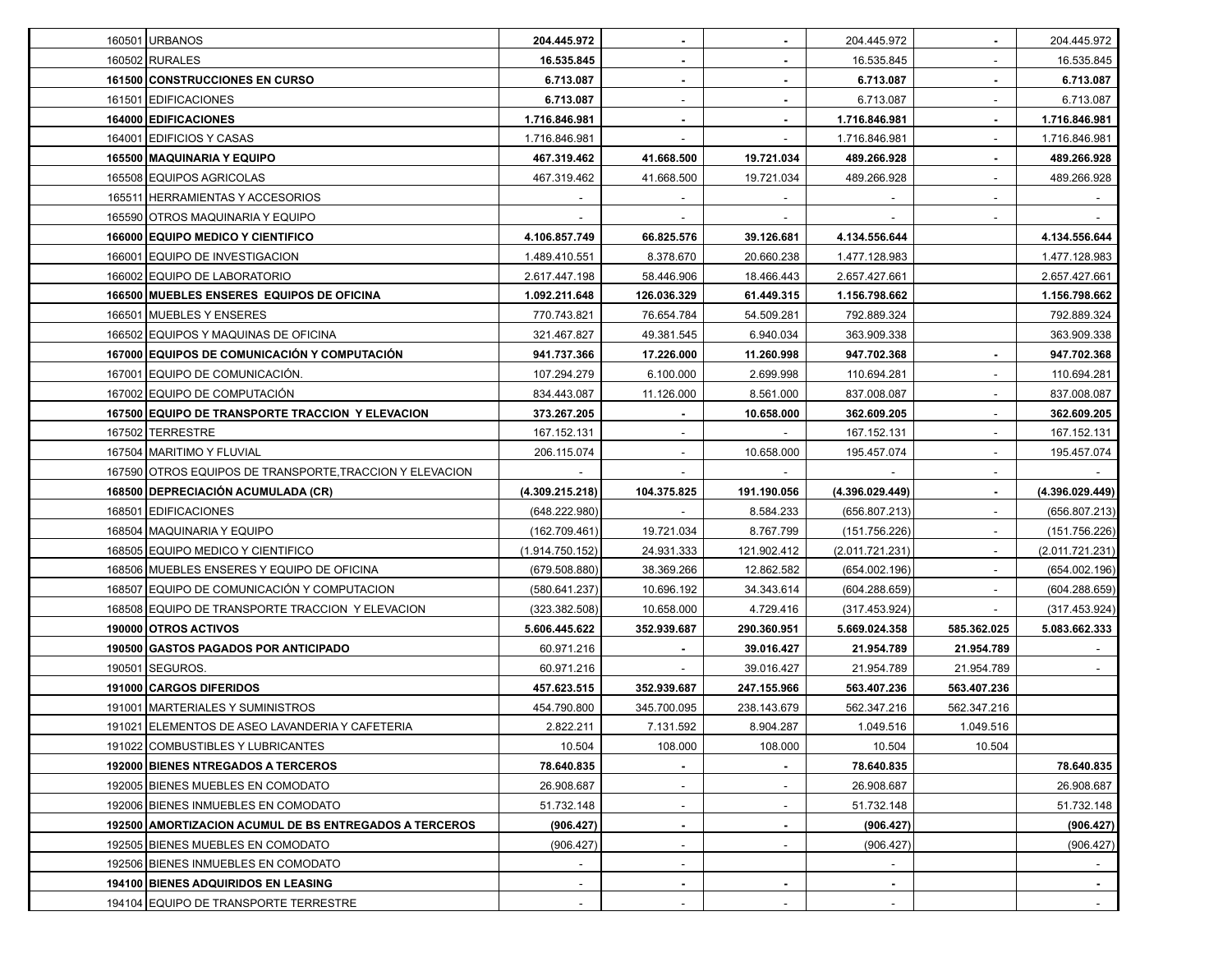| 160501 URBANOS                                           | 204.445.972     |                | ٠                        | 204.445.972     | $\sim$                   | 204.445.972     |
|----------------------------------------------------------|-----------------|----------------|--------------------------|-----------------|--------------------------|-----------------|
| 160502 RURALES                                           | 16.535.845      |                |                          | 16.535.845      | $\overline{\phantom{a}}$ | 16.535.845      |
| 161500 CONSTRUCCIONES EN CURSO                           | 6.713.087       |                |                          | 6.713.087       | $\blacksquare$           | 6.713.087       |
| 161501 EDIFICACIONES                                     | 6.713.087       |                |                          | 6.713.087       |                          | 6.713.087       |
| 164000 EDIFICACIONES                                     | 1.716.846.981   |                |                          | 1.716.846.981   | $\blacksquare$           | 1.716.846.981   |
| 164001 EDIFICIOS Y CASAS                                 | 1.716.846.981   |                |                          | 1.716.846.981   | $\overline{\phantom{a}}$ | 1.716.846.981   |
| 165500 MAQUINARIA Y EQUIPO                               | 467.319.462     | 41.668.500     | 19.721.034               | 489.266.928     | $\blacksquare$           | 489.266.928     |
| 165508 EQUIPOS AGRICOLAS                                 | 467.319.462     | 41.668.500     | 19.721.034               | 489.266.928     |                          | 489.266.928     |
| 165511 HERRAMIENTAS Y ACCESORIOS                         |                 |                |                          |                 |                          |                 |
| 165590 OTROS MAQUINARIA Y EQUIPO                         |                 |                |                          |                 | $\overline{\phantom{a}}$ |                 |
| 166000 EQUIPO MEDICO Y CIENTIFICO                        | 4.106.857.749   | 66.825.576     | 39.126.681               | 4.134.556.644   |                          | 4.134.556.644   |
| 166001 EQUIPO DE INVESTIGACION                           | 1.489.410.551   | 8.378.670      | 20.660.238               | 1.477.128.983   |                          | 1.477.128.983   |
| 166002 EQUIPO DE LABORATORIO                             | 2.617.447.198   | 58.446.906     | 18.466.443               | 2.657.427.661   |                          | 2.657.427.661   |
| 166500 MUEBLES ENSERES EQUIPOS DE OFICINA                | 1.092.211.648   | 126.036.329    | 61.449.315               | 1.156.798.662   |                          | 1.156.798.662   |
| 166501 MUEBLES Y ENSERES                                 | 770.743.821     | 76.654.784     | 54.509.281               | 792.889.324     |                          | 792.889.324     |
| 166502 EQUIPOS Y MAQUINAS DE OFICINA                     | 321.467.827     | 49.381.545     | 6.940.034                | 363.909.338     |                          | 363.909.338     |
| 167000 EQUIPOS DE COMUNICACIÓN Y COMPUTACIÓN             | 941.737.366     | 17.226.000     | 11.260.998               | 947.702.368     |                          | 947.702.368     |
| 167001 EQUIPO DE COMUNICACIÓN.                           | 107.294.279     | 6.100.000      | 2.699.998                | 110.694.281     |                          | 110.694.281     |
| 167002 EQUIPO DE COMPUTACIÓN                             | 834.443.087     | 11.126.000     | 8.561.000                | 837.008.087     |                          | 837.008.087     |
| 167500 EQUIPO DE TRANSPORTE TRACCION Y ELEVACION         | 373.267.205     |                | 10.658.000               | 362.609.205     | $\overline{\phantom{a}}$ | 362.609.205     |
| 167502 TERRESTRE                                         | 167.152.131     |                |                          | 167.152.131     | $\overline{\phantom{a}}$ | 167.152.131     |
| 167504 MARITIMO Y FLUVIAL                                | 206.115.074     |                | 10.658.000               | 195.457.074     | $\overline{\phantom{a}}$ | 195.457.074     |
| 167590 OTROS EQUIPOS DE TRANSPORTE, TRACCION Y ELEVACION |                 |                |                          |                 | $\blacksquare$           |                 |
| 168500 DEPRECIACIÓN ACUMULADA (CR)                       | (4.309.215.218) | 104.375.825    | 191.190.056              | (4.396.029.449) | $\blacksquare$           | (4.396.029.449) |
| 168501 EDIFICACIONES                                     | (648.222.980)   |                | 8.584.233                | (656.807.213)   |                          | (656.807.213)   |
| 168504   MAQUINARIA Y EQUIPO                             | (162.709.461)   | 19.721.034     | 8.767.799                | (151.756.226)   | $\sim$                   | (151.756.226)   |
| 168505 EQUIPO MEDICO Y CIENTIFICO                        | (1.914.750.152) | 24.931.333     | 121.902.412              | (2.011.721.231) | $\overline{\phantom{a}}$ | (2.011.721.231) |
| 168506 MUEBLES ENSERES Y EQUIPO DE OFICINA               | (679.508.880)   | 38.369.266     | 12.862.582               | (654.002.196)   |                          | (654.002.196)   |
| 168507 EQUIPO DE COMUNICACIÓN Y COMPUTACION              | (580.641.237)   | 10.696.192     | 34.343.614               | (604.288.659)   |                          | (604.288.659)   |
| 168508 EQUIPO DE TRANSPORTE TRACCION Y ELEVACION         | (323.382.508)   | 10.658.000     | 4.729.416                | (317.453.924)   |                          | (317.453.924)   |
| 190000 OTROS ACTIVOS                                     | 5.606.445.622   | 352.939.687    | 290.360.951              | 5.669.024.358   | 585.362.025              | 5.083.662.333   |
| 190500 GASTOS PAGADOS POR ANTICIPADO                     | 60.971.216      |                | 39.016.427               | 21.954.789      | 21.954.789               |                 |
| 190501 SEGUROS.                                          | 60.971.216      |                | 39.016.427               | 21.954.789      | 21.954.789               |                 |
| 191000 CARGOS DIFERIDOS                                  | 457.623.515     | 352.939.687    | 247.155.966              | 563.407.236     | 563.407.236              |                 |
| 191001   MARTERIALES Y SUMINISTROS                       | 454.790.800     | 345.700.095    | 238.143.679              | 562.347.216     | 562.347.216              |                 |
| 191021 ELEMENTOS DE ASEO LAVANDERIA Y CAFETERIA          | 2.822.211       | 7.131.592      | 8.904.287                | 1.049.516       | 1.049.516                |                 |
| 191022 COMBUSTIBLES Y LUBRICANTES                        | 10.504          | 108.000        | 108.000                  | 10.504          | 10.504                   |                 |
| 192000 BIENES NTREGADOS A TERCEROS                       | 78.640.835      |                |                          | 78.640.835      |                          | 78.640.835      |
| 192005 BIENES MUEBLES EN COMODATO                        | 26.908.687      | ٠              | $\overline{\phantom{0}}$ | 26.908.687      |                          | 26.908.687      |
| 192006 BIENES INMUEBLES EN COMODATO                      | 51.732.148      |                |                          | 51.732.148      |                          | 51.732.148      |
| 192500 AMORTIZACION ACUMUL DE BS ENTREGADOS A TERCEROS   | (906.427)       | $\blacksquare$ | ۰                        | (906.427)       |                          | (906.427)       |
| 192505 BIENES MUEBLES EN COMODATO                        | (906.427)       |                |                          | (906.427)       |                          | (906.427)       |
| 192506 BIENES INMUEBLES EN COMODATO                      |                 |                |                          |                 |                          |                 |
| <b>194100 BIENES ADQUIRIDOS EN LEASING</b>               | $\sim$          |                |                          | $\blacksquare$  |                          |                 |
| 194104 EQUIPO DE TRANSPORTE TERRESTRE                    |                 |                |                          |                 |                          |                 |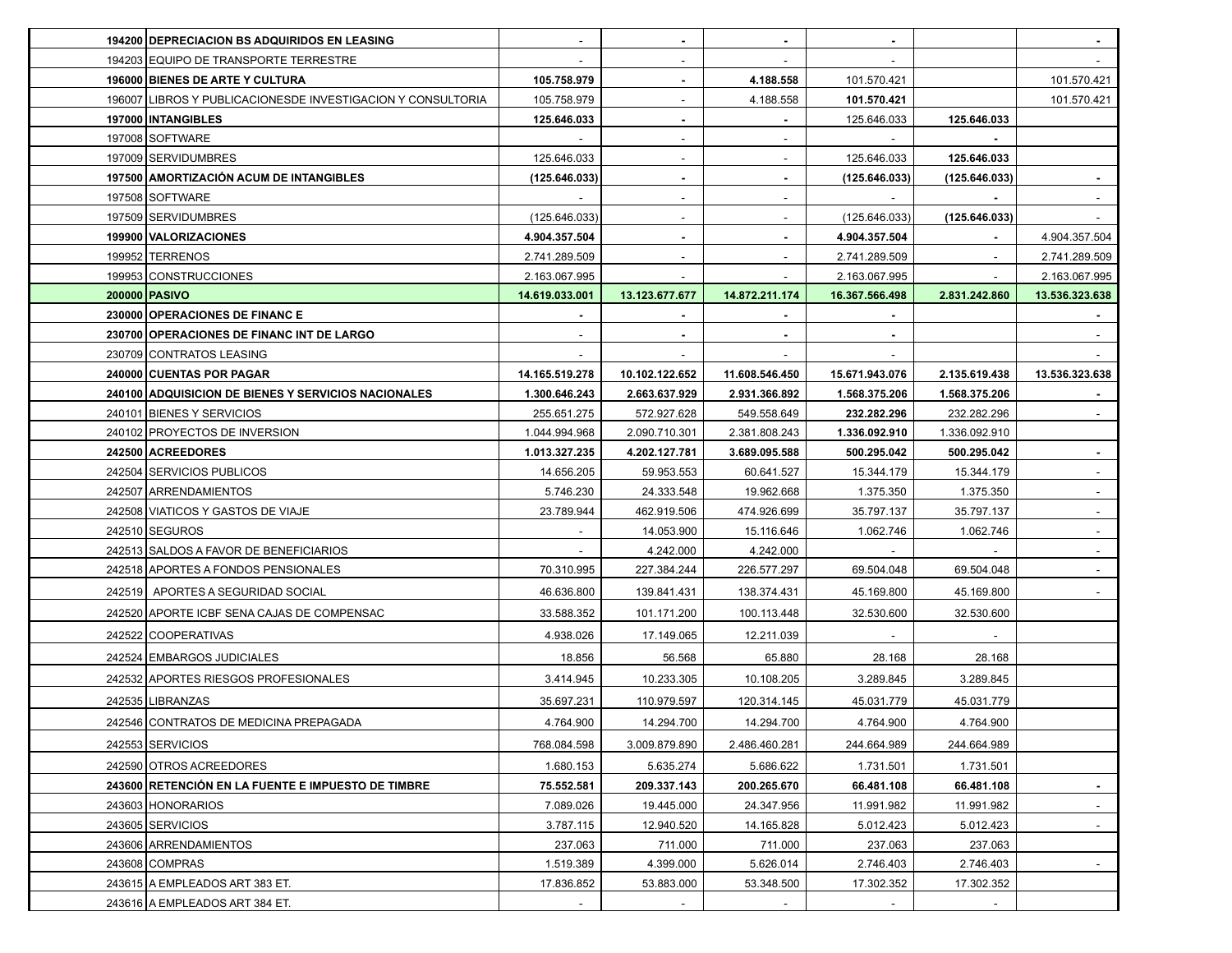| <b>194200 DEPRECIACION BS ADQUIRIDOS EN LEASING</b><br>$\overline{\phantom{a}}$<br>٠<br>$\blacksquare$                  |                                       |                          |
|-------------------------------------------------------------------------------------------------------------------------|---------------------------------------|--------------------------|
| 194203 EQUIPO DE TRANSPORTE TERRESTRE                                                                                   |                                       |                          |
| 196000 BIENES DE ARTE Y CULTURA<br>105.758.979<br>4.188.558<br>$\blacksquare$                                           | 101.570.421                           | 101.570.421              |
| 196007 LIBROS Y PUBLICACIONESDE INVESTIGACION Y CONSULTORIA<br>105.758.979<br>4.188.558                                 | 101.570.421                           | 101.570.421              |
| 197000   INTANGIBLES<br>125.646.033                                                                                     | 125.646.033<br>125.646.033            |                          |
| 197008 SOFTWARE                                                                                                         |                                       |                          |
| 197009 SERVIDUMBRES<br>125.646.033                                                                                      | 125.646.033<br>125.646.033            |                          |
| 197500 AMORTIZACIÓN ACUM DE INTANGIBLES<br>(125.646.033)<br>$\blacksquare$<br>٠                                         | (125.646.033)<br>(125.646.033)        |                          |
| 197508 SOFTWARE<br>٠                                                                                                    |                                       |                          |
| 197509 SERVIDUMBRES<br>(125.646.033)                                                                                    | (125.646.033)<br>(125.646.033)        |                          |
| 199900 VALORIZACIONES<br>4.904.357.504<br>4.904.357.504<br>٠<br>$\blacksquare$                                          |                                       | 4.904.357.504            |
| 199952 TERRENOS<br>2.741.289.509<br>2.741.289.509                                                                       | $\overline{\phantom{a}}$              | 2.741.289.509            |
| 199953 CONSTRUCCIONES<br>2.163.067.995<br>2.163.067.995<br>$\sim$<br>$\sim$                                             | $\sim$                                | 2.163.067.995            |
| 200000 PASIVO<br>14.619.033.001<br>13.123.677.677<br>14.872.211.174<br>16.367.566.498                                   | 2.831.242.860                         | 13.536.323.638           |
| 230000 OPERACIONES DE FINANCE                                                                                           |                                       |                          |
| 230700 OPERACIONES DE FINANC INT DE LARGO                                                                               |                                       |                          |
| 230709 CONTRATOS LEASING                                                                                                |                                       |                          |
| 240000 CUENTAS POR PAGAR<br>14.165.519.278<br>10.102.122.652<br>11.608.546.450<br>15.671.943.076                        | 2.135.619.438                         | 13.536.323.638           |
| 240100 ADQUISICION DE BIENES Y SERVICIOS NACIONALES<br>1.300.646.243<br>2.663.637.929<br>2.931.366.892<br>1.568.375.206 | 1.568.375.206                         |                          |
| 240101 BIENES Y SERVICIOS<br>255.651.275<br>572.927.628<br>549.558.649                                                  | 232.282.296<br>232.282.296            |                          |
| 240102 PROYECTOS DE INVERSION<br>1.044.994.968<br>2.090.710.301<br>2.381.808.243                                        | 1.336.092.910<br>1.336.092.910        |                          |
| 242500 ACREEDORES<br>1.013.327.235<br>4.202.127.781<br>3.689.095.588                                                    | 500.295.042<br>500.295.042            | $\sim$                   |
| 242504 SERVICIOS PUBLICOS<br>14.656.205<br>59.953.553<br>60.641.527                                                     | 15.344.179<br>15.344.179              | $\sim$                   |
| 242507 ARRENDAMIENTOS<br>5.746.230<br>24.333.548<br>19.962.668                                                          | 1.375.350<br>1.375.350                | $\sim$                   |
| 242508 VIATICOS Y GASTOS DE VIAJE<br>23.789.944<br>462.919.506<br>474.926.699                                           | 35.797.137<br>35.797.137              |                          |
| 242510 SEGUROS<br>14.053.900<br>15.116.646                                                                              | 1.062.746<br>1.062.746                |                          |
| 242513 SALDOS A FAVOR DE BENEFICIARIOS<br>4.242.000<br>4.242.000                                                        |                                       | $\overline{\phantom{a}}$ |
| 242518 APORTES A FONDOS PENSIONALES<br>70.310.995<br>227.384.244<br>226.577.297                                         | 69.504.048<br>69.504.048              |                          |
| 242519 APORTES A SEGURIDAD SOCIAL<br>46.636.800<br>139.841.431<br>138.374.431                                           | 45.169.800<br>45.169.800              |                          |
| 242520 APORTE ICBF SENA CAJAS DE COMPENSAC<br>33.588.352<br>101.171.200<br>100.113.448                                  | 32.530.600<br>32.530.600              |                          |
| 242522 COOPERATIVAS<br>4.938.026<br>17.149.065<br>12.211.039                                                            |                                       |                          |
| 242524 EMBARGOS JUDICIALES<br>18.856<br>56.568<br>65.880                                                                | 28.168<br>28.168                      |                          |
| 242532 APORTES RIESGOS PROFESIONALES<br>3.414.945<br>10.233.305<br>10.108.205                                           | 3.289.845<br>3.289.845                |                          |
| 242535 LIBRANZAS<br>35.697.231<br>110.979.597<br>120.314.145                                                            | 45.031.779<br>45.031.779              |                          |
| 242546 CONTRATOS DE MEDICINA PREPAGADA<br>4.764.900<br>14.294.700<br>14.294.700                                         | 4.764.900<br>4.764.900                |                          |
| 242553 SERVICIOS<br>3.009.879.890<br>768.084.598<br>2.486.460.281                                                       | 244.664.989<br>244.664.989            |                          |
| 242590 OTROS ACREEDORES<br>5.635.274<br>1.680.153<br>5.686.622                                                          | 1.731.501                             |                          |
| 243600 RETENCIÓN EN LA FUENTE E IMPUESTO DE TIMBRE<br>75.552.581<br>209.337.143<br>200.265.670                          | 1.731.501<br>66.481.108<br>66.481.108 | $\blacksquare$           |
| 243603 HONORARIOS<br>7.089.026<br>19.445.000<br>24.347.956                                                              | 11.991.982<br>11.991.982              |                          |
| 243605 SERVICIOS<br>3.787.115<br>12.940.520<br>14.165.828                                                               | 5.012.423<br>5.012.423                | $\sim$                   |
| 243606 ARRENDAMIENTOS<br>237.063<br>711.000<br>711.000                                                                  | 237.063<br>237.063                    |                          |
| 243608 COMPRAS<br>1.519.389<br>4.399.000<br>5.626.014                                                                   | 2.746.403<br>2.746.403                | $\sim$                   |
| 243615 A EMPLEADOS ART 383 ET.<br>17.836.852<br>53.883.000<br>53.348.500                                                |                                       |                          |
|                                                                                                                         | 17.302.352<br>17.302.352              |                          |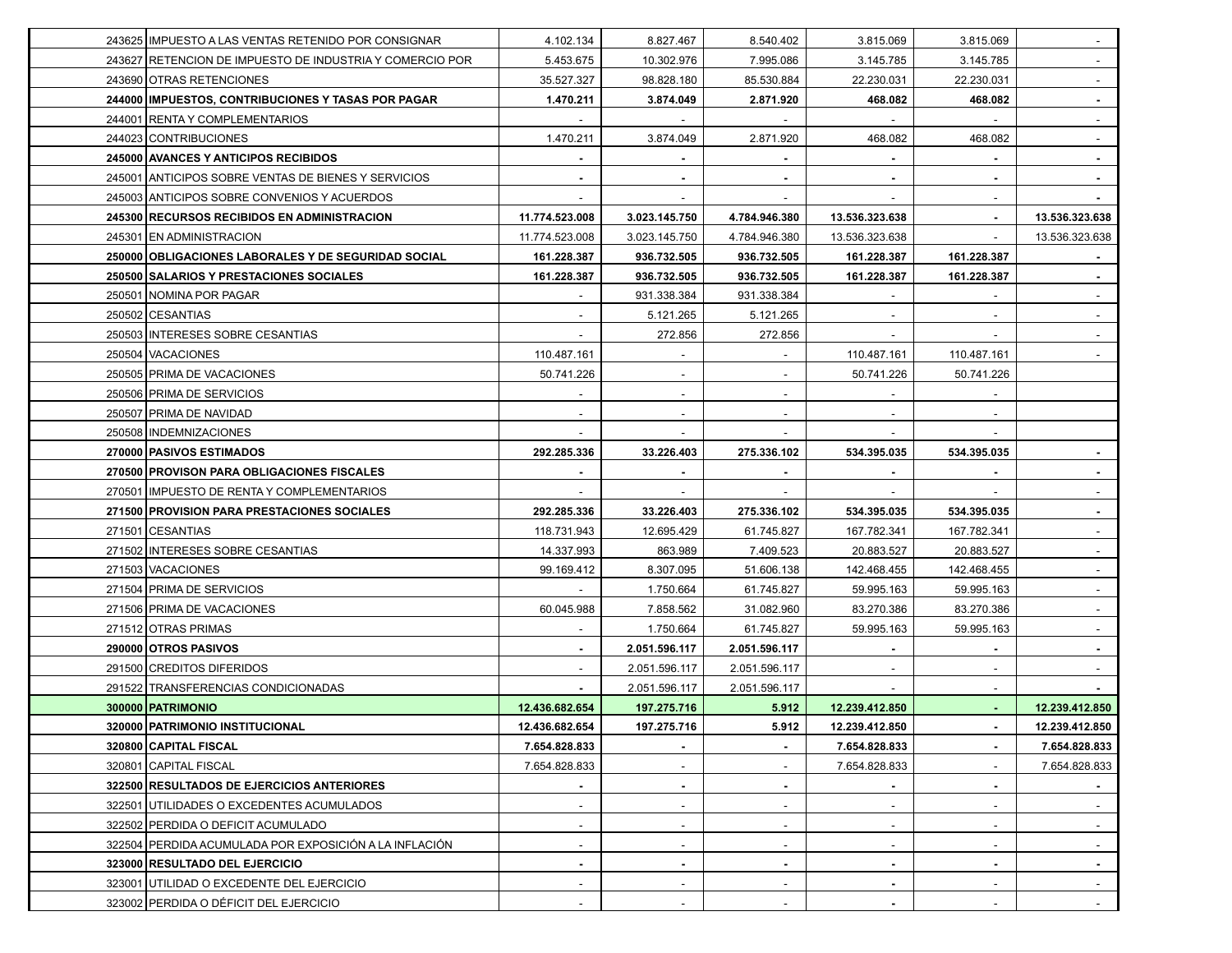| 243625 IMPUESTO A LAS VENTAS RETENIDO POR CONSIGNAR      | 4.102.134                | 8.827.467     | 8.540.402                | 3.815.069                | 3.815.069                |                |
|----------------------------------------------------------|--------------------------|---------------|--------------------------|--------------------------|--------------------------|----------------|
| 243627 RETENCION DE IMPUESTO DE INDUSTRIA Y COMERCIO POR | 5.453.675                | 10.302.976    | 7.995.086                | 3.145.785                | 3.145.785                |                |
| 243690 OTRAS RETENCIONES                                 | 35.527.327               | 98.828.180    | 85.530.884               | 22.230.031               | 22.230.031               | $\sim$         |
| 244000 IMPUESTOS, CONTRIBUCIONES Y TASAS POR PAGAR       | 1.470.211                | 3.874.049     | 2.871.920                | 468.082                  | 468.082                  |                |
| 244001 RENTA Y COMPLEMENTARIOS                           |                          |               |                          |                          |                          |                |
| 244023 CONTRIBUCIONES                                    | 1.470.211                | 3.874.049     | 2.871.920                | 468.082                  | 468.082                  |                |
| 245000 AVANCES Y ANTICIPOS RECIBIDOS                     |                          |               |                          |                          |                          |                |
| 245001 ANTICIPOS SOBRE VENTAS DE BIENES Y SERVICIOS      |                          |               |                          |                          | $\blacksquare$           |                |
| 245003 ANTICIPOS SOBRE CONVENIOS Y ACUERDOS              |                          |               |                          |                          |                          |                |
| 245300 RECURSOS RECIBIDOS EN ADMINISTRACION              | 11.774.523.008           | 3.023.145.750 | 4.784.946.380            | 13.536.323.638           |                          | 13.536.323.638 |
| 245301 EN ADMINISTRACION                                 | 11.774.523.008           | 3.023.145.750 | 4.784.946.380            | 13.536.323.638           | $\sim$                   | 13.536.323.638 |
| 250000 OBLIGACIONES LABORALES Y DE SEGURIDAD SOCIAL      | 161.228.387              | 936.732.505   | 936.732.505              | 161.228.387              | 161.228.387              |                |
| 250500 SALARIOS Y PRESTACIONES SOCIALES                  | 161.228.387              | 936.732.505   | 936.732.505              | 161.228.387              | 161.228.387              |                |
| 250501 NOMINA POR PAGAR                                  |                          | 931.338.384   | 931.338.384              |                          |                          |                |
| 250502 CESANTIAS                                         |                          | 5.121.265     | 5.121.265                |                          |                          |                |
| 250503 INTERESES SOBRE CESANTIAS                         |                          | 272.856       | 272.856                  |                          |                          |                |
| 250504 VACACIONES                                        | 110.487.161              |               |                          | 110.487.161              | 110.487.161              |                |
| 250505 PRIMA DE VACACIONES                               | 50.741.226               |               |                          | 50.741.226               | 50.741.226               |                |
| 250506 PRIMA DE SERVICIOS                                |                          |               |                          |                          |                          |                |
| 250507 PRIMA DE NAVIDAD                                  |                          |               |                          |                          |                          |                |
| 250508   INDEMNIZACIONES                                 |                          |               |                          |                          |                          |                |
| 270000 PASIVOS ESTIMADOS                                 | 292.285.336              | 33.226.403    | 275.336.102              | 534.395.035              | 534.395.035              |                |
| 270500 PROVISON PARA OBLIGACIONES FISCALES               |                          |               |                          |                          | $\blacksquare$           | $\sim$         |
| 270501 IMPUESTO DE RENTA Y COMPLEMENTARIOS               |                          |               |                          |                          |                          |                |
| 271500 PROVISION PARA PRESTACIONES SOCIALES              | 292.285.336              | 33.226.403    | 275.336.102              | 534.395.035              | 534.395.035              |                |
| 271501 CESANTIAS                                         | 118.731.943              | 12.695.429    | 61.745.827               | 167.782.341              | 167.782.341              |                |
| 271502 INTERESES SOBRE CESANTIAS                         | 14.337.993               | 863.989       | 7.409.523                | 20.883.527               | 20.883.527               |                |
| 271503 VACACIONES                                        | 99.169.412               | 8.307.095     | 51.606.138               | 142.468.455              | 142.468.455              |                |
| 271504 PRIMA DE SERVICIOS                                |                          | 1.750.664     | 61.745.827               | 59.995.163               | 59.995.163               |                |
| 271506 PRIMA DE VACACIONES                               | 60.045.988               | 7.858.562     | 31.082.960               | 83.270.386               | 83.270.386               |                |
| 271512 OTRAS PRIMAS                                      |                          | 1.750.664     | 61.745.827               | 59.995.163               | 59.995.163               |                |
| 290000 OTROS PASIVOS                                     | $\sim$                   | 2.051.596.117 | 2.051.596.117            | $\blacksquare$           | $\blacksquare$           | $\sim$         |
| 291500 CREDITOS DIFERIDOS                                | $\sim$                   | 2.051.596.117 | 2.051.596.117            | $\overline{\phantom{a}}$ | $\overline{\phantom{a}}$ |                |
| 291522 TRANSFERENCIAS CONDICIONADAS                      |                          | 2.051.596.117 | 2.051.596.117            |                          |                          |                |
| 300000 PATRIMONIO                                        | 12.436.682.654           | 197.275.716   | 5.912                    | 12.239.412.850           |                          | 12.239.412.850 |
| 320000 PATRIMONIO INSTITUCIONAL                          | 12.436.682.654           | 197.275.716   | 5.912                    | 12.239.412.850           | $\sim$                   | 12.239.412.850 |
| 320800 CAPITAL FISCAL                                    | 7.654.828.833            |               | ۰.                       | 7.654.828.833            | $\blacksquare$           | 7.654.828.833  |
| 320801 CAPITAL FISCAL                                    | 7.654.828.833            |               | $\overline{\phantom{a}}$ | 7.654.828.833            | $\overline{\phantom{a}}$ | 7.654.828.833  |
| 322500 RESULTADOS DE EJERCICIOS ANTERIORES               |                          |               |                          |                          |                          |                |
| 322501 UTILIDADES O EXCEDENTES ACUMULADOS                | $\overline{\phantom{a}}$ |               | $\overline{\phantom{0}}$ | $\sim$                   | $\sim$                   |                |
| 322502 PERDIDA O DEFICIT ACUMULADO                       | ۰                        | ٠             | $\overline{\phantom{a}}$ | $\sim$                   | $\sim$                   | $\sim$         |
| 322504 PERDIDA ACUMULADA POR EXPOSICIÓN A LA INFLACIÓN   | $\overline{\phantom{a}}$ |               | $\overline{\phantom{a}}$ | $\sim$                   | $\overline{\phantom{a}}$ | $\sim$         |
| 323000 RESULTADO DEL EJERCICIO                           | $\blacksquare$           |               | ٠                        | $\blacksquare$           | $\blacksquare$           | $\sim$         |
| 323001 UTILIDAD O EXCEDENTE DEL EJERCICIO                |                          |               |                          |                          |                          |                |
| 323002 PERDIDA O DÉFICIT DEL EJERCICIO                   |                          |               |                          |                          |                          |                |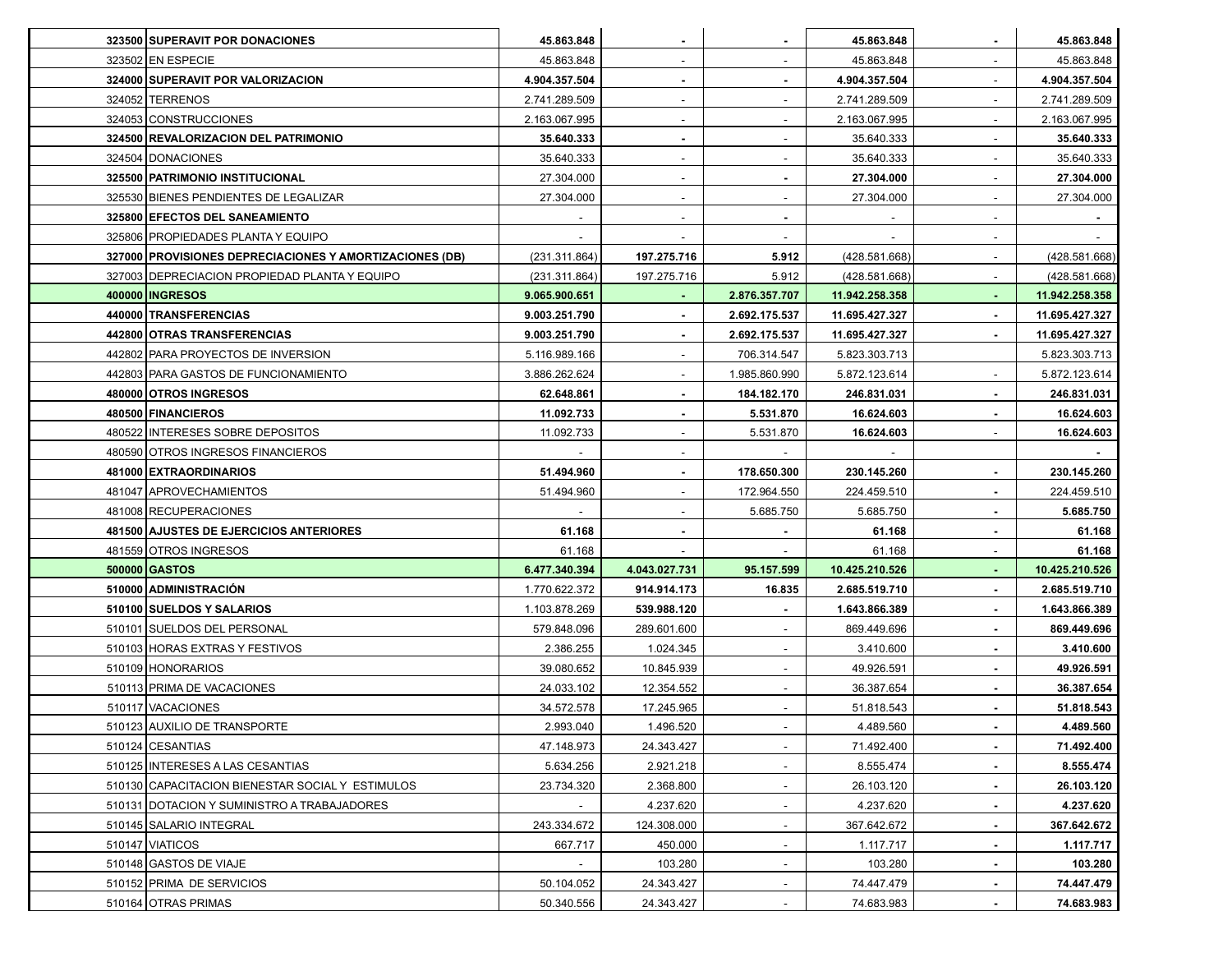| 323500 SUPERAVIT POR DONACIONES                         | 45.863.848    |                          |                          | 45.863.848     | $\blacksquare$           | 45.863.848     |
|---------------------------------------------------------|---------------|--------------------------|--------------------------|----------------|--------------------------|----------------|
| 323502 EN ESPECIE                                       | 45.863.848    | ۰                        | $\overline{\phantom{a}}$ | 45.863.848     | $\overline{\phantom{a}}$ | 45.863.848     |
| 324000 SUPERAVIT POR VALORIZACION                       | 4.904.357.504 |                          |                          | 4.904.357.504  | $\overline{\phantom{a}}$ | 4.904.357.504  |
| 324052 TERRENOS                                         | 2.741.289.509 |                          |                          | 2.741.289.509  | $\overline{\phantom{a}}$ | 2.741.289.509  |
| 324053 CONSTRUCCIONES                                   | 2.163.067.995 |                          |                          | 2.163.067.995  |                          | 2.163.067.995  |
| 324500 REVALORIZACION DEL PATRIMONIO                    | 35.640.333    |                          |                          | 35.640.333     | $\overline{\phantom{a}}$ | 35.640.333     |
| 324504 DONACIONES                                       | 35.640.333    | ۰                        |                          | 35.640.333     | $\overline{\phantom{a}}$ | 35.640.333     |
| 325500 PATRIMONIO INSTITUCIONAL                         | 27.304.000    |                          |                          | 27.304.000     | $\blacksquare$           | 27.304.000     |
| 325530 BIENES PENDIENTES DE LEGALIZAR                   | 27.304.000    |                          |                          | 27.304.000     | $\overline{\phantom{a}}$ | 27.304.000     |
| 325800 EFECTOS DEL SANEAMIENTO                          |               |                          |                          |                |                          |                |
| 325806 PROPIEDADES PLANTA Y EQUIPO                      |               | $\overline{\phantom{a}}$ | $\overline{\phantom{a}}$ | ۰              | $\sim$                   |                |
| 327000 PROVISIONES DEPRECIACIONES Y AMORTIZACIONES (DB) | (231.311.864) | 197.275.716              | 5.912                    | (428.581.668)  | $\overline{\phantom{a}}$ | (428.581.668)  |
| 327003 DEPRECIACION PROPIEDAD PLANTA Y EQUIPO           | (231.311.864) | 197.275.716              | 5.912                    | (428.581.668)  | $\overline{\phantom{a}}$ | (428.581.668)  |
| 400000   INGRESOS                                       | 9.065.900.651 |                          | 2.876.357.707            | 11.942.258.358 |                          | 11.942.258.358 |
| 440000 TRANSFERENCIAS                                   | 9.003.251.790 |                          | 2.692.175.537            | 11.695.427.327 |                          | 11.695.427.327 |
| 442800 OTRAS TRANSFERENCIAS                             | 9.003.251.790 |                          | 2.692.175.537            | 11.695.427.327 | $\blacksquare$           | 11.695.427.327 |
| 442802 PARA PROYECTOS DE INVERSION                      | 5.116.989.166 |                          | 706.314.547              | 5.823.303.713  |                          | 5.823.303.713  |
| 442803 PARA GASTOS DE FUNCIONAMIENTO                    | 3.886.262.624 |                          | 1.985.860.990            | 5.872.123.614  | $\blacksquare$           | 5.872.123.614  |
| 480000 OTROS INGRESOS                                   | 62.648.861    |                          | 184.182.170              | 246.831.031    |                          | 246.831.031    |
| 480500 FINANCIEROS                                      | 11.092.733    |                          | 5.531.870                | 16.624.603     |                          | 16.624.603     |
| 480522 INTERESES SOBRE DEPOSITOS                        | 11.092.733    |                          | 5.531.870                | 16.624.603     | $\overline{\phantom{a}}$ | 16.624.603     |
| 480590 OTROS INGRESOS FINANCIEROS                       |               |                          |                          |                |                          |                |
| 481000 EXTRAORDINARIOS                                  | 51.494.960    |                          | 178.650.300              | 230.145.260    | $\blacksquare$           | 230.145.260    |
| 481047 APROVECHAMIENTOS                                 | 51.494.960    |                          | 172.964.550              | 224.459.510    |                          | 224.459.510    |
| 481008 RECUPERACIONES                                   |               |                          | 5.685.750                | 5.685.750      |                          | 5.685.750      |
| 481500 AJUSTES DE EJERCICIOS ANTERIORES                 | 61.168        |                          |                          | 61.168         | $\sim$                   | 61.168         |
| 481559 OTROS INGRESOS                                   | 61.168        |                          |                          | 61.168         | $\overline{\phantom{a}}$ | 61.168         |
| 500000 GASTOS                                           | 6.477.340.394 | 4.043.027.731            | 95.157.599               | 10.425.210.526 |                          | 10.425.210.526 |
| 510000 ADMINISTRACION                                   | 1.770.622.372 | 914.914.173              | 16.835                   | 2.685.519.710  |                          | 2.685.519.710  |
| 510100 SUELDOS Y SALARIOS                               | 1.103.878.269 | 539.988.120              |                          | 1.643.866.389  |                          | 1.643.866.389  |
| 510101 SUELDOS DEL PERSONAL                             | 579.848.096   | 289.601.600              |                          | 869.449.696    | $\sim$                   | 869.449.696    |
| 510103 HORAS EXTRAS Y FESTIVOS                          | 2.386.255     | 1.024.345                | $\overline{\phantom{a}}$ | 3.410.600      | $\blacksquare$           | 3.410.600      |
| 510109 HONORARIOS                                       | 39.080.652    | 10.845.939               | $\sim$                   | 49.926.591     | $\sim$                   | 49.926.591     |
| 510113 PRIMA DE VACACIONES                              | 24.033.102    | 12.354.552               |                          | 36.387.654     |                          | 36.387.654     |
| 510117 VACACIONES                                       | 34.572.578    | 17.245.965               |                          | 51.818.543     |                          | 51.818.543     |
| 510123 AUXILIO DE TRANSPORTE                            | 2.993.040     | 1.496.520                |                          | 4.489.560      | $\sim$                   | 4.489.560      |
| 510124 CESANTIAS                                        | 47.148.973    | 24.343.427               | $\sim$                   | 71.492.400     | $\sim$                   | 71.492.400     |
| 510125 INTERESES A LAS CESANTIAS                        | 5.634.256     | 2.921.218                | $\overline{\phantom{0}}$ | 8.555.474      | $\blacksquare$           | 8.555.474      |
| 510130 CAPACITACION BIENESTAR SOCIAL Y ESTIMULOS        | 23.734.320    | 2.368.800                |                          | 26.103.120     |                          | 26.103.120     |
| 510131 DOTACION Y SUMINISTRO A TRABAJADORES             |               | 4.237.620                | -                        | 4.237.620      | $\blacksquare$           | 4.237.620      |
| 510145 SALARIO INTEGRAL                                 | 243.334.672   | 124.308.000              | $\sim$                   | 367.642.672    | $\blacksquare$           | 367.642.672    |
| 510147 VIATICOS                                         | 667.717       | 450.000                  | $\sim$                   | 1.117.717      | $\sim$                   | 1.117.717      |
| 510148 GASTOS DE VIAJE                                  | $\sim$        | 103.280                  | $\overline{\phantom{0}}$ | 103.280        | $\sim$                   | 103.280        |
| 510152 PRIMA DE SERVICIOS                               | 50.104.052    | 24.343.427               |                          | 74.447.479     |                          | 74.447.479     |
| 510164 OTRAS PRIMAS                                     | 50.340.556    | 24.343.427               |                          | 74.683.983     |                          | 74.683.983     |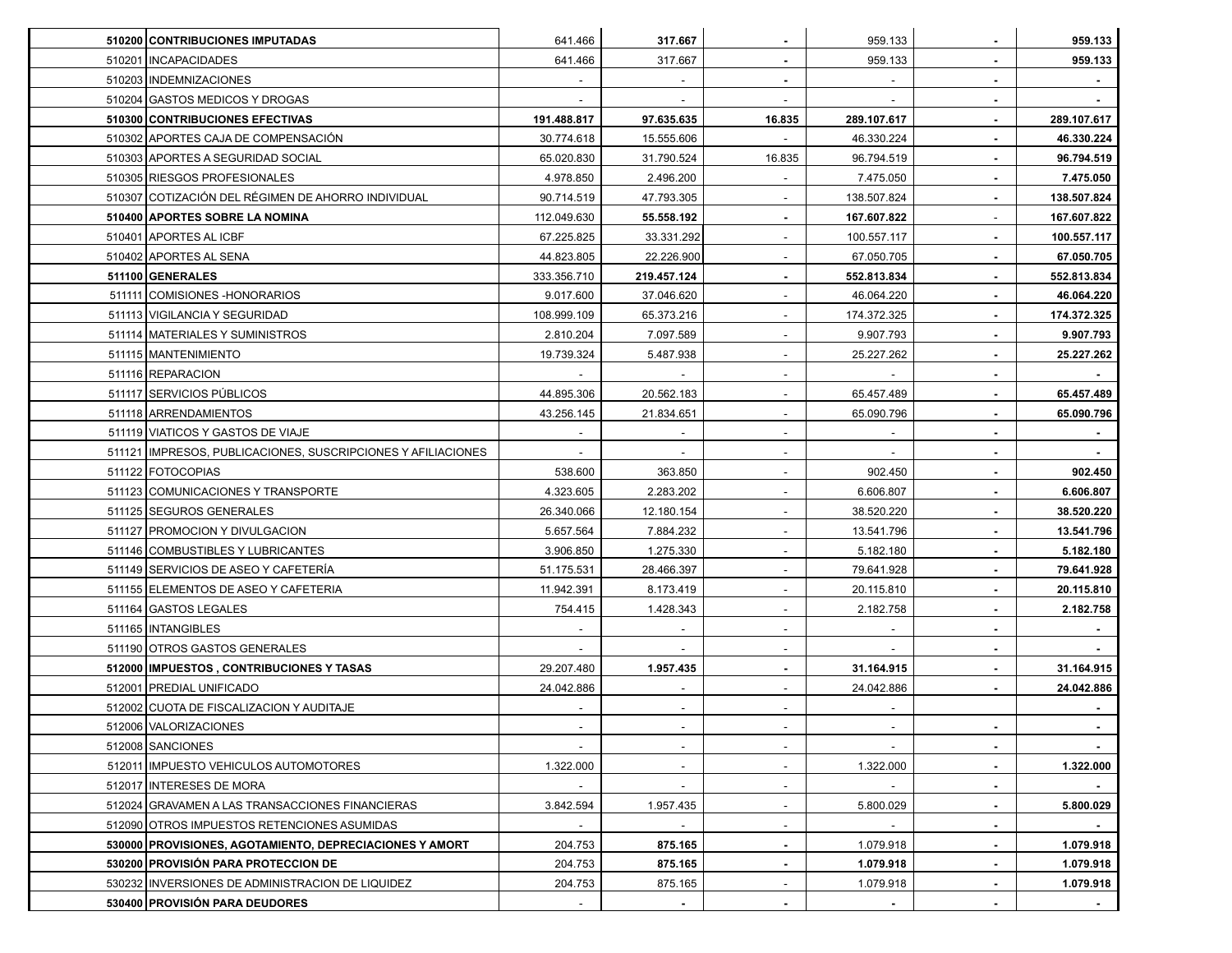| 510200 CONTRIBUCIONES IMPUTADAS                                | 641.466     | 317.667                  |                          | 959.133                  | $\sim$                   | 959.133     |
|----------------------------------------------------------------|-------------|--------------------------|--------------------------|--------------------------|--------------------------|-------------|
| 510201   INCAPACIDADES                                         | 641.466     | 317.667                  | $\sim$                   | 959.133                  | $\blacksquare$           | 959.133     |
| 510203   INDEMNIZACIONES                                       |             |                          |                          |                          | $\blacksquare$           |             |
| 510204 GASTOS MEDICOS Y DROGAS                                 |             |                          |                          |                          | $\sim$                   |             |
| 510300 CONTRIBUCIONES EFECTIVAS                                | 191.488.817 | 97.635.635               | 16.835                   | 289.107.617              | $\blacksquare$           | 289.107.617 |
| 510302 APORTES CAJA DE COMPENSACIÓN                            | 30.774.618  | 15.555.606               |                          | 46.330.224               | $\sim$                   | 46.330.224  |
| 510303 APORTES A SEGURIDAD SOCIAL                              | 65.020.830  | 31.790.524               | 16.835                   | 96.794.519               | $\blacksquare$           | 96.794.519  |
| 510305 RIESGOS PROFESIONALES                                   | 4.978.850   | 2.496.200                |                          | 7.475.050                | $\blacksquare$           | 7.475.050   |
| 510307 COTIZACIÓN DEL RÉGIMEN DE AHORRO INDIVIDUAL             | 90.714.519  | 47.793.305               |                          | 138.507.824              | $\sim$                   | 138.507.824 |
| 510400 APORTES SOBRE LA NOMINA                                 | 112.049.630 | 55.558.192               |                          | 167.607.822              | $\overline{\phantom{a}}$ | 167.607.822 |
| 510401 APORTES AL ICBF                                         | 67.225.825  | 33.331.292               | $\overline{\phantom{a}}$ | 100.557.117              | $\blacksquare$           | 100.557.117 |
| 510402 APORTES AL SENA                                         | 44.823.805  | 22.226.900               | $\sim$                   | 67.050.705               | $\blacksquare$           | 67.050.705  |
| 511100 GENERALES                                               | 333.356.710 | 219.457.124              | ٠                        | 552.813.834              | $\blacksquare$           | 552.813.834 |
| 511111 COMISIONES - HONORARIOS                                 | 9.017.600   | 37.046.620               |                          | 46.064.220               | $\blacksquare$           | 46.064.220  |
| 511113 VIGILANCIA Y SEGURIDAD                                  | 108.999.109 | 65.373.216               |                          | 174.372.325              | $\blacksquare$           | 174.372.325 |
| 511114 MATERIALES Y SUMINISTROS                                | 2.810.204   | 7.097.589                |                          | 9.907.793                | $\sim$                   | 9.907.793   |
| 511115 MANTENIMIENTO                                           | 19.739.324  | 5.487.938                | $\sim$                   | 25.227.262               | $\blacksquare$           | 25.227.262  |
| 511116 REPARACION                                              |             |                          |                          |                          | $\blacksquare$           |             |
| 511117 SERVICIOS PÚBLICOS                                      | 44.895.306  | 20.562.183               |                          | 65.457.489               | $\sim$                   | 65.457.489  |
| 511118 ARRENDAMIENTOS                                          | 43.256.145  | 21.834.651               |                          | 65.090.796               | $\blacksquare$           | 65.090.796  |
| 511119 VIATICOS Y GASTOS DE VIAJE                              |             |                          | $\blacksquare$           |                          | $\sim$                   |             |
| 511121   IMPRESOS, PUBLICACIONES, SUSCRIPCIONES Y AFILIACIONES | $\sim$      | $\sim$                   | $\overline{\phantom{a}}$ | $\sim$                   | $\blacksquare$           |             |
| 511122 FOTOCOPIAS                                              | 538.600     | 363.850                  | $\blacksquare$           | 902.450                  | $\blacksquare$           | 902.450     |
| 511123 COMUNICACIONES Y TRANSPORTE                             | 4.323.605   | 2.283.202                |                          | 6.606.807                | $\blacksquare$           | 6.606.807   |
| 511125 SEGUROS GENERALES                                       | 26.340.066  | 12.180.154               |                          | 38.520.220               |                          | 38.520.220  |
| 511127 PROMOCION Y DIVULGACION                                 | 5.657.564   | 7.884.232                |                          | 13.541.796               | $\sim$                   | 13.541.796  |
| 511146 COMBUSTIBLES Y LUBRICANTES                              | 3.906.850   | 1.275.330                | $\overline{\phantom{a}}$ | 5.182.180                | $\blacksquare$           | 5.182.180   |
| 511149 SERVICIOS DE ASEO Y CAFETERIA                           | 51.175.531  | 28.466.397               |                          | 79.641.928               | $\blacksquare$           | 79.641.928  |
| 511155 ELEMENTOS DE ASEO Y CAFETERIA                           | 11.942.391  | 8.173.419                |                          | 20.115.810               | $\blacksquare$           | 20.115.810  |
| 511164 GASTOS LEGALES                                          | 754.415     | 1.428.343                |                          | 2.182.758                | $\blacksquare$           | 2.182.758   |
| 511165   INTANGIBLES                                           |             |                          | $\blacksquare$           |                          | $\sim$                   |             |
| 511190 OTROS GASTOS GENERALES                                  | $\sim$      | $\overline{\phantom{a}}$ | $\blacksquare$           | $\sim$                   | $\blacksquare$           |             |
| 512000 IMPUESTOS, CONTRIBUCIONES Y TASAS                       | 29.207.480  | 1.957.435                | $\blacksquare$           | 31.164.915               | $\blacksquare$           | 31.164.915  |
| 512001 PREDIAL UNIFICADO                                       | 24.042.886  |                          |                          | 24.042.886               | $\blacksquare$           | 24.042.886  |
| 512002 CUOTA DE FISCALIZACION Y AUDITAJE                       |             |                          |                          |                          |                          |             |
| 512006 VALORIZACIONES                                          |             | -                        |                          | $\overline{\phantom{a}}$ | $\sim$                   |             |
| 512008 SANCIONES                                               |             | $\sim$                   | $\sim$                   | $\sim$                   | $\blacksquare$           |             |
| 512011 IMPUESTO VEHICULOS AUTOMOTORES                          | 1.322.000   | $\overline{\phantom{0}}$ | $\overline{\phantom{0}}$ | 1.322.000                | $\blacksquare$           | 1.322.000   |
| 512017 INTERESES DE MORA                                       |             |                          |                          |                          | $\blacksquare$           |             |
| 512024 GRAVAMEN A LAS TRANSACCIONES FINANCIERAS                | 3.842.594   | 1.957.435                | $\overline{a}$           | 5.800.029                | $\blacksquare$           | 5.800.029   |
| 512090 OTROS IMPUESTOS RETENCIONES ASUMIDAS                    | $\sim$      | $\sim$                   | $\overline{\phantom{a}}$ | $\sim$                   | $\sim$                   |             |
| 530000 PROVISIONES, AGOTAMIENTO, DEPRECIACIONES Y AMORT        | 204.753     | 875.165                  | ۰.                       | 1.079.918                | $\blacksquare$           | 1.079.918   |
| 530200 PROVISIÓN PARA PROTECCION DE                            | 204.753     | 875.165                  | ٠                        | 1.079.918                | $\sim$                   | 1.079.918   |
| 530232 INVERSIONES DE ADMINISTRACION DE LIQUIDEZ               | 204.753     | 875.165                  |                          | 1.079.918                | $\blacksquare$           | 1.079.918   |
| 530400 PROVISIÓN PARA DEUDORES                                 |             |                          |                          |                          |                          |             |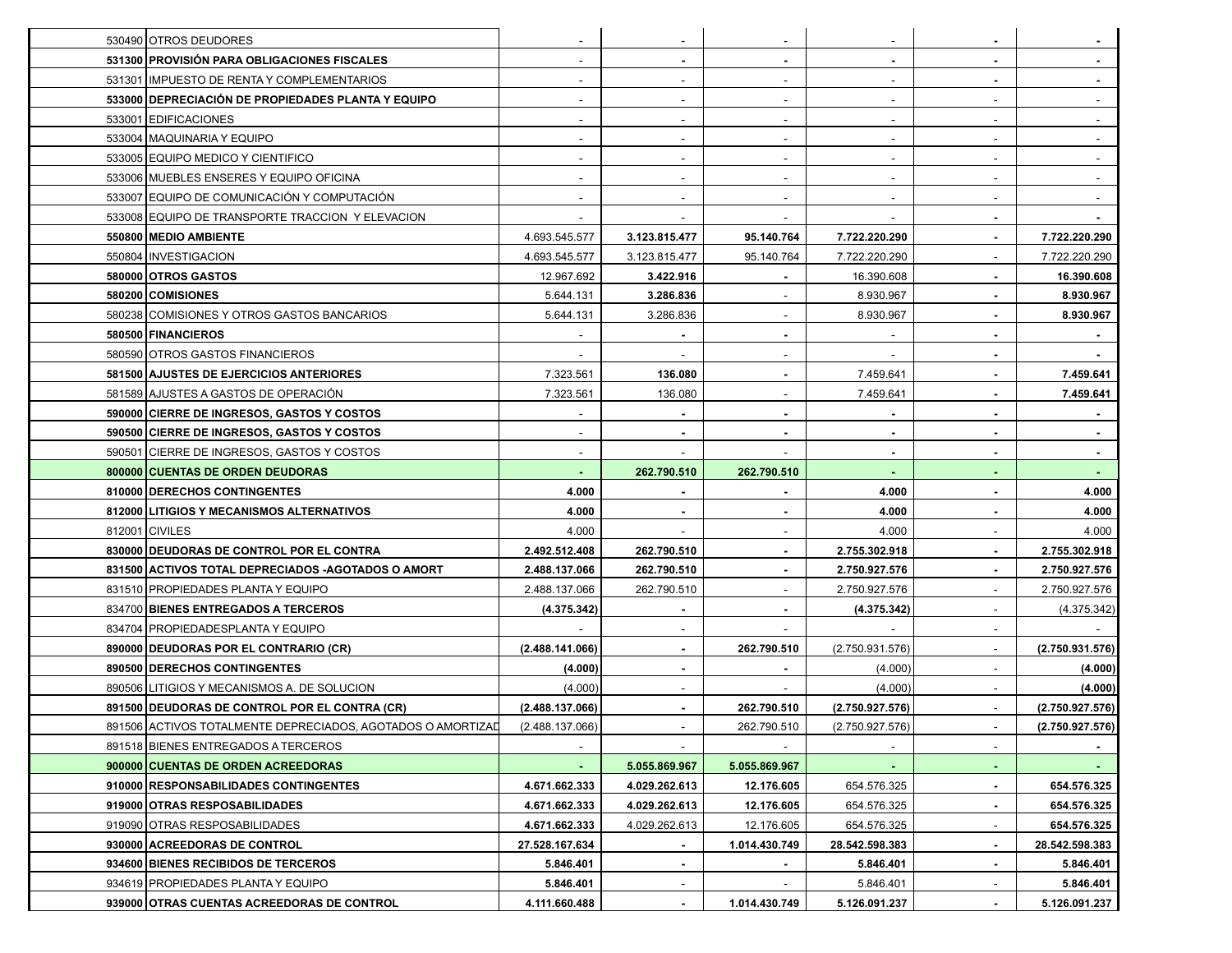| 530490 OTROS DEUDORES                                       |                 |                          |                          |                 | $\sim$                   |                 |
|-------------------------------------------------------------|-----------------|--------------------------|--------------------------|-----------------|--------------------------|-----------------|
| 531300 PROVISIÓN PARA OBLIGACIONES FISCALES                 |                 |                          |                          |                 | $\blacksquare$           |                 |
| 531301 IMPUESTO DE RENTA Y COMPLEMENTARIOS                  |                 |                          |                          |                 | $\blacksquare$           |                 |
| 533000 DEPRECIACIÓN DE PROPIEDADES PLANTA Y EQUIPO          |                 |                          |                          |                 |                          |                 |
| 533001 EDIFICACIONES                                        |                 |                          |                          |                 |                          |                 |
| 533004   MAQUINARIA Y EQUIPO                                |                 |                          |                          |                 | $\sim$                   |                 |
| 533005 EQUIPO MEDICO Y CIENTIFICO                           |                 |                          |                          |                 | $\sim$                   |                 |
| 533006 MUEBLES ENSERES Y EQUIPO OFICINA                     |                 |                          |                          |                 | $\sim$                   |                 |
| 533007 EQUIPO DE COMUNICACIÓN Y COMPUTACIÓN                 |                 |                          |                          |                 |                          |                 |
| 533008 EQUIPO DE TRANSPORTE TRACCION Y ELEVACION            |                 |                          |                          |                 | $\sim$                   |                 |
| 550800 MEDIO AMBIENTE                                       | 4.693.545.577   | 3.123.815.477            | 95.140.764               | 7.722.220.290   | $\sim$                   | 7.722.220.290   |
| 550804   INVESTIGACION                                      | 4.693.545.577   | 3.123.815.477            | 95.140.764               | 7.722.220.290   | $\sim$                   | 7.722.220.290   |
| 580000 OTROS GASTOS                                         | 12.967.692      | 3.422.916                |                          | 16.390.608      | $\blacksquare$           | 16.390.608      |
| 580200 COMISIONES                                           | 5.644.131       | 3.286.836                |                          | 8.930.967       |                          | 8.930.967       |
| 580238 COMISIONES Y OTROS GASTOS BANCARIOS                  | 5.644.131       | 3.286.836                |                          | 8.930.967       |                          | 8.930.967       |
| 580500 FINANCIEROS                                          |                 |                          | $\blacksquare$           |                 | $\sim$                   |                 |
| 580590 OTROS GASTOS FINANCIEROS                             |                 |                          |                          |                 | $\sim$                   |                 |
| 581500 AJUSTES DE EJERCICIOS ANTERIORES                     | 7.323.561       | 136.080                  |                          | 7.459.641       | $\blacksquare$           | 7.459.641       |
| 581589 AJUSTES A GASTOS DE OPERACIÓN                        | 7.323.561       | 136.080                  |                          | 7.459.641       |                          | 7.459.641       |
| 590000 CIERRE DE INGRESOS, GASTOS Y COSTOS                  |                 |                          | $\blacksquare$           |                 | $\blacksquare$           |                 |
| 590500 CIERRE DE INGRESOS, GASTOS Y COSTOS                  |                 | $\blacksquare$           | $\overline{\phantom{a}}$ | $\blacksquare$  | $\blacksquare$           |                 |
| 590501 CIERRE DE INGRESOS, GASTOS Y COSTOS                  |                 |                          |                          | $\blacksquare$  | $\blacksquare$           |                 |
| 800000 CUENTAS DE ORDEN DEUDORAS                            |                 | 262.790.510              | 262.790.510              | $\blacksquare$  | $\blacksquare$           |                 |
| 810000   DERECHOS CONTINGENTES                              | 4.000           |                          |                          | 4.000           |                          | 4.000           |
| 812000 LITIGIOS Y MECANISMOS ALTERNATIVOS                   | 4.000           |                          |                          | 4.000           |                          | 4.000           |
| 812001 CIVILES                                              | 4.000           |                          |                          | 4.000           | $\sim$                   | 4.000           |
| 830000 DEUDORAS DE CONTROL POR EL CONTRA                    | 2.492.512.408   | 262.790.510              |                          | 2.755.302.918   |                          | 2.755.302.918   |
| 831500 ACTIVOS TOTAL DEPRECIADOS - AGOTADOS O AMORT         | 2.488.137.066   | 262.790.510              |                          | 2.750.927.576   |                          | 2.750.927.576   |
| 831510 PROPIEDADES PLANTA Y EQUIPO                          | 2.488.137.066   | 262.790.510              |                          | 2.750.927.576   | $\overline{\phantom{a}}$ | 2.750.927.576   |
| 834700 BIENES ENTREGADOS A TERCEROS                         | (4.375.342)     |                          |                          | (4.375.342)     |                          | (4.375.342)     |
| 834704 PROPIEDADESPLANTA Y EQUIPO                           |                 | $\overline{\phantom{a}}$ |                          |                 | $\sim$                   |                 |
| 890000 DEUDORAS POR EL CONTRARIO (CR)                       | (2.488.141.066) |                          | 262.790.510              | (2.750.931.576) | $\sim$                   | (2.750.931.576) |
| 890500 DERECHOS CONTINGENTES                                | (4.000)         |                          |                          | (4.000)         | ÷                        | (4.000)         |
| 890506 LITIGIOS Y MECANISMOS A. DE SOLUCION                 | (4.000)         |                          |                          | (4.000)         |                          | (4.000)         |
| 891500 DEUDORAS DE CONTROL POR EL CONTRA (CR)               | (2.488.137.066) |                          | 262.790.510              | (2.750.927.576) |                          | (2.750.927.576) |
| 891506 ACTIVOS TOTALMENTE DEPRECIADOS, AGOTADOS O AMORTIZAD | (2.488.137.066) |                          | 262.790.510              | (2.750.927.576) | $\sim$                   | (2.750.927.576) |
| 891518 BIENES ENTREGADOS A TERCEROS                         |                 |                          |                          |                 |                          |                 |
| 900000 CUENTAS DE ORDEN ACREEDORAS                          |                 | 5.055.869.967            | 5.055.869.967            |                 |                          |                 |
| 910000 RESPONSABILIDADES CONTINGENTES                       | 4.671.662.333   | 4.029.262.613            | 12.176.605               | 654.576.325     | $\blacksquare$           | 654.576.325     |
| 919000 OTRAS RESPOSABILIDADES                               | 4.671.662.333   | 4.029.262.613            | 12.176.605               | 654.576.325     | $\blacksquare$           | 654.576.325     |
| 919090 OTRAS RESPOSABILIDADES                               | 4.671.662.333   | 4.029.262.613            | 12.176.605               | 654.576.325     | $\sim$                   | 654.576.325     |
| 930000 ACREEDORAS DE CONTROL                                | 27.528.167.634  | $\blacksquare$           | 1.014.430.749            | 28.542.598.383  | $\sim$                   | 28.542.598.383  |
| 934600 BIENES RECIBIDOS DE TERCEROS                         | 5.846.401       |                          |                          | 5.846.401       | $\blacksquare$           | 5.846.401       |
|                                                             |                 |                          |                          |                 |                          |                 |
| 934619 PROPIEDADES PLANTA Y EQUIPO                          | 5.846.401       |                          |                          | 5.846.401       | $\overline{\phantom{a}}$ | 5.846.401       |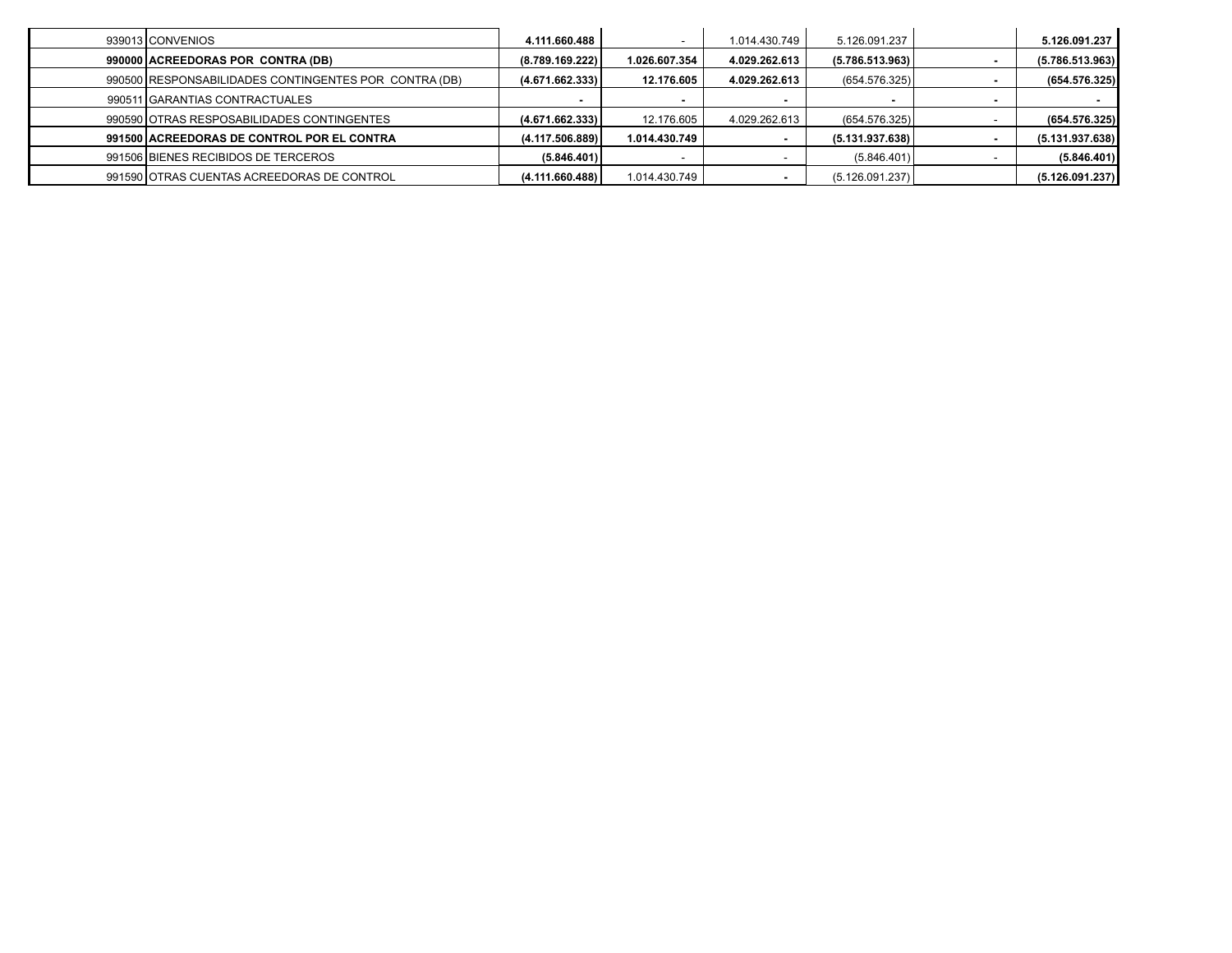| 939013 CONVENIOS                                      | 4.111.660.488   |               | 1.014.430.749 | 5.126.091.237   | 5.126.091.237   |
|-------------------------------------------------------|-----------------|---------------|---------------|-----------------|-----------------|
| 990000 ACREEDORAS POR CONTRA (DB)                     | (8.789.169.222) | 1.026.607.354 | 4.029.262.613 | (5.786.513.963) | (5.786.513.963) |
| 990500 RESPONSABILIDADES CONTINGENTES POR CONTRA (DB) | (4.671.662.333) | 12.176.605    | 4.029.262.613 | (654.576.325)   | (654.576.325)   |
| 990511 GARANTIAS CONTRACTUALES                        |                 |               |               |                 |                 |
| 990590 OTRAS RESPOSABILIDADES CONTINGENTES            | (4.671.662.333) | 12.176.605    | 4.029.262.613 | (654.576.325)   | (654.576.325)   |
| 991500 ACREEDORAS DE CONTROL POR EL CONTRA            | (4.117.506.889) | 1.014.430.749 |               | (5.131.937.638) | (5.131.937.638) |
| 991506 BIENES RECIBIDOS DE TERCEROS                   | (5.846.401)     |               |               | (5.846.401)     | (5.846.401)     |
| 991590 OTRAS CUENTAS ACREEDORAS DE CONTROL            | (4.111.660.488) | 1.014.430.749 |               | (5.126.091.237) | (5.126.091.237) |